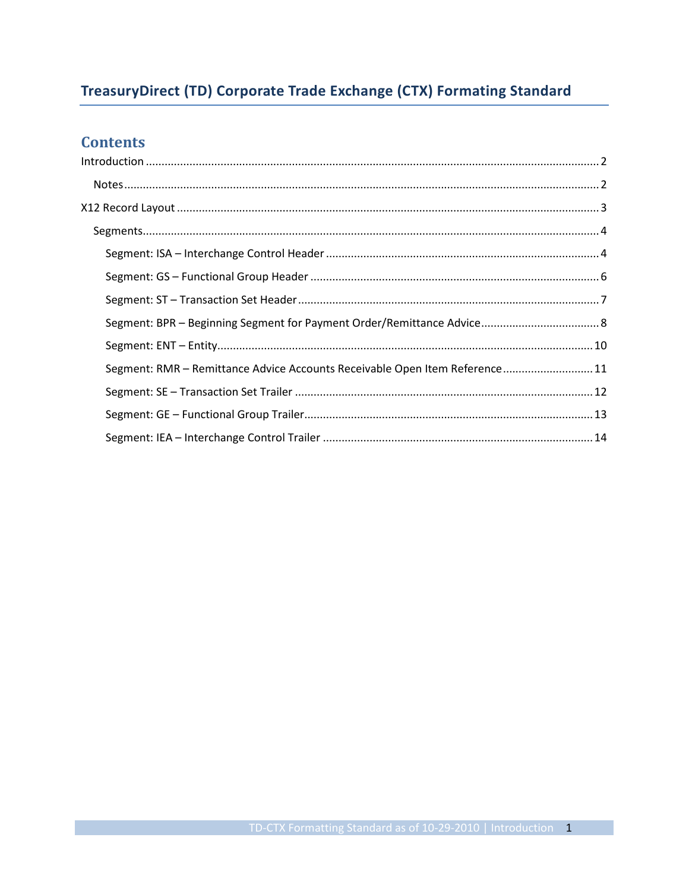# TreasuryDirect (TD) Corporate Trade Exchange (CTX) Formating Standard

## **Contents**

| Segment: RMR - Remittance Advice Accounts Receivable Open Item Reference 11 |  |
|-----------------------------------------------------------------------------|--|
|                                                                             |  |
|                                                                             |  |
|                                                                             |  |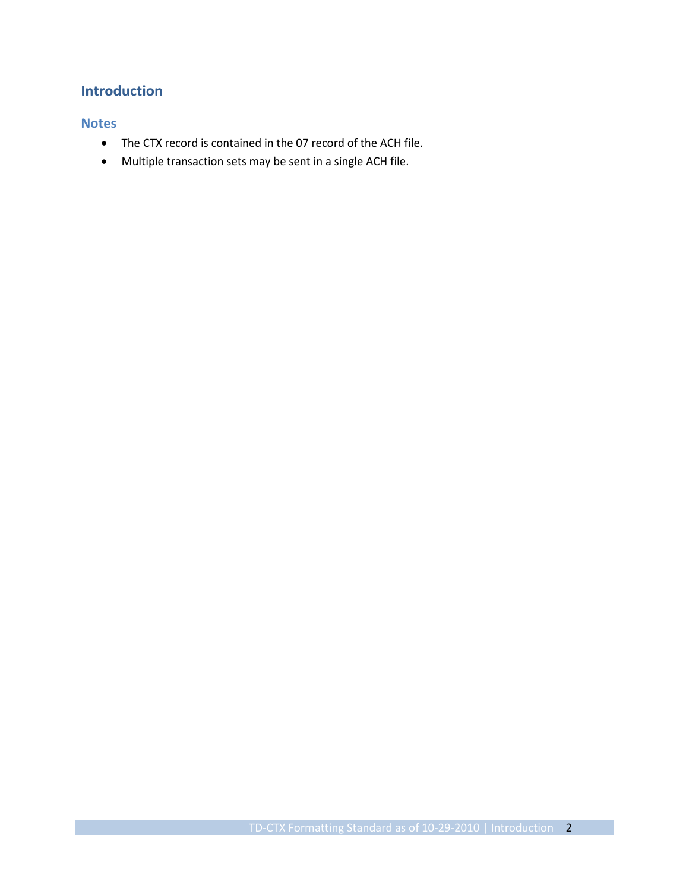## <span id="page-1-0"></span>**Introduction**

#### <span id="page-1-1"></span>**Notes**

- The CTX record is contained in the 07 record of the ACH file.
- Multiple transaction sets may be sent in a single ACH file.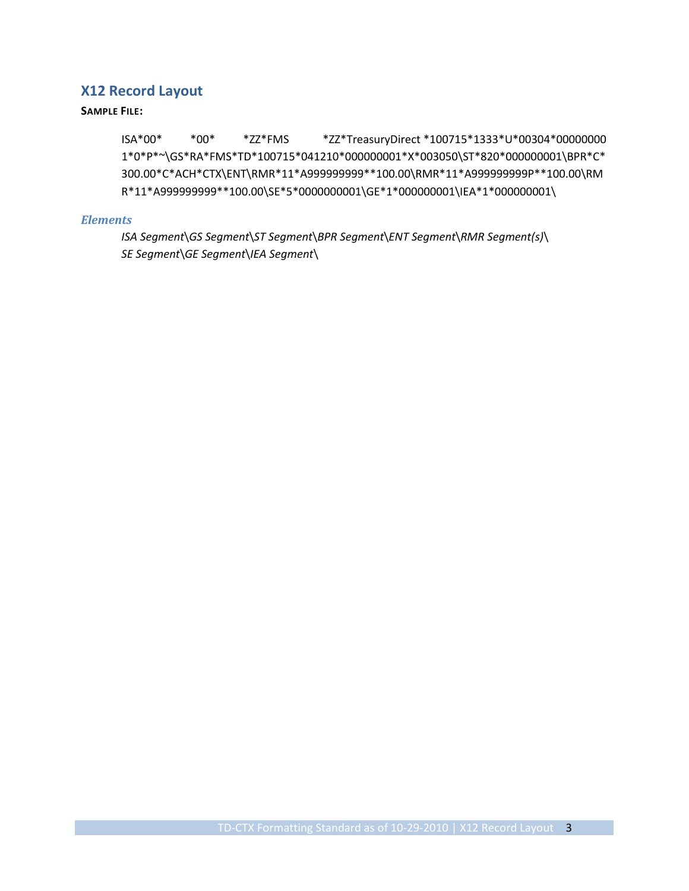## <span id="page-2-0"></span>**X12 Record Layout**

#### **SAMPLE FILE:**

ISA\*00\* \*00\* \*ZZ\*FMS \*ZZ\*TreasuryDirect \*100715\*1333\*U\*00304\*00000000 1\*0\*P\*~\GS\*RA\*FMS\*TD\*100715\*041210\*000000001\*X\*003050\ST\*820\*000000001\BPR\*C\* 300.00\*C\*ACH\*CTX\ENT\RMR\*11\*A999999999\*\*100.00\RMR\*11\*A999999999P\*\*100.00\RM R\*11\*A999999999\*\*100.00\SE\*5\*0000000001\GE\*1\*000000001\IEA\*1\*000000001\

#### *Elements*

*ISA Segment*\*GS Segment*\*ST Segment*\*BPR Segment*\*ENT Segment*\*RMR Segment(s)*\ *SE Segment*\*GE Segment*\*IEA Segment*\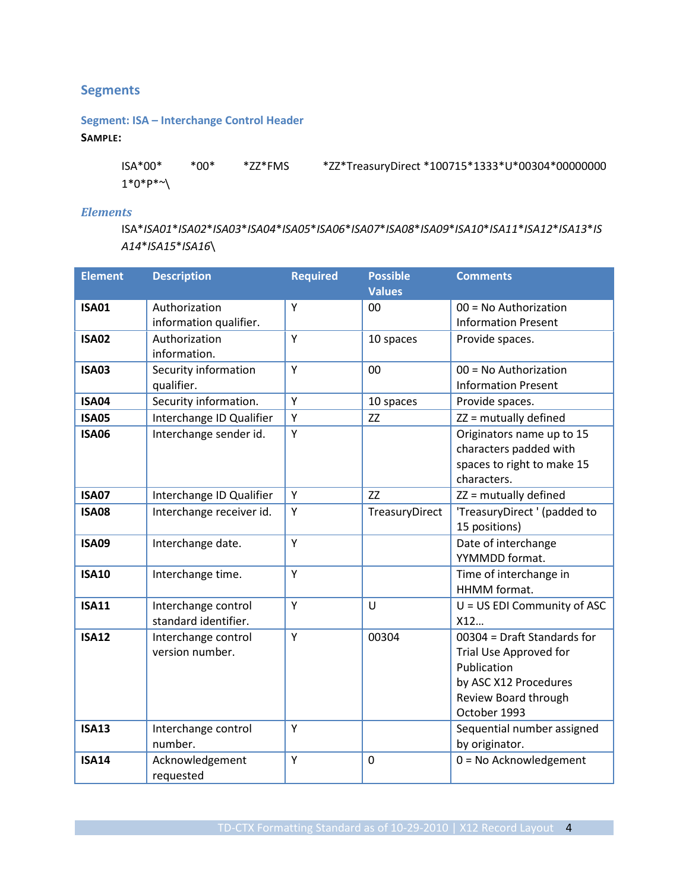## <span id="page-3-0"></span>**Segments**

## <span id="page-3-1"></span>**Segment: ISA – Interchange Control Header**

#### **SAMPLE:**

ISA\*00\* \*00\* \*ZZ\*FMS \*ZZ\*TreasuryDirect \*100715\*1333\*U\*00304\*00000000  $1^*0^*P^{*\sim}$ 

#### *Elements*

ISA\**ISA01*\**ISA02*\**ISA03*\**ISA04*\**ISA05*\**ISA06*\**ISA07*\**ISA08*\**ISA09*\**ISA10*\**ISA11*\**ISA12*\**ISA13*\**IS A14*\**ISA15*\**ISA16*\

| <b>Element</b> | <b>Description</b>       | <b>Required</b> | <b>Possible</b> | <b>Comments</b>              |
|----------------|--------------------------|-----------------|-----------------|------------------------------|
|                |                          |                 | <b>Values</b>   |                              |
| <b>ISA01</b>   | Authorization            | Y               | 00              | $00 = No$ Authorization      |
|                | information qualifier.   |                 |                 | <b>Information Present</b>   |
| <b>ISA02</b>   | Authorization            | Y               | 10 spaces       | Provide spaces.              |
|                | information.             |                 |                 |                              |
| <b>ISA03</b>   | Security information     | Y               | 00              | $00 = No$ Authorization      |
|                | qualifier.               |                 |                 | <b>Information Present</b>   |
| <b>ISA04</b>   | Security information.    | Y               | 10 spaces       | Provide spaces.              |
| <b>ISA05</b>   | Interchange ID Qualifier | Y               | ZZ              | ZZ = mutually defined        |
| <b>ISA06</b>   | Interchange sender id.   | Υ               |                 | Originators name up to 15    |
|                |                          |                 |                 | characters padded with       |
|                |                          |                 |                 | spaces to right to make 15   |
|                |                          |                 |                 | characters.                  |
| <b>ISA07</b>   | Interchange ID Qualifier | Y               | ZZ              | ZZ = mutually defined        |
| <b>ISA08</b>   | Interchange receiver id. | Y               | TreasuryDirect  | 'TreasuryDirect ' (padded to |
|                |                          |                 |                 | 15 positions)                |
| <b>ISA09</b>   | Interchange date.        | Y               |                 | Date of interchange          |
|                |                          |                 |                 | YYMMDD format.               |
| <b>ISA10</b>   | Interchange time.        | Y               |                 | Time of interchange in       |
|                |                          |                 |                 | HHMM format.                 |
| <b>ISA11</b>   | Interchange control      | Y               | U               | U = US EDI Community of ASC  |
|                | standard identifier.     |                 |                 | X12                          |
| <b>ISA12</b>   | Interchange control      | Y               | 00304           | 00304 = Draft Standards for  |
|                | version number.          |                 |                 | Trial Use Approved for       |
|                |                          |                 |                 | Publication                  |
|                |                          |                 |                 | by ASC X12 Procedures        |
|                |                          |                 |                 | Review Board through         |
|                |                          |                 |                 | October 1993                 |
| <b>ISA13</b>   | Interchange control      | Y               |                 | Sequential number assigned   |
|                | number.                  |                 |                 | by originator.               |
| <b>ISA14</b>   | Acknowledgement          | Y               | $\overline{0}$  | $0 = No$ Acknowledgement     |
|                | requested                |                 |                 |                              |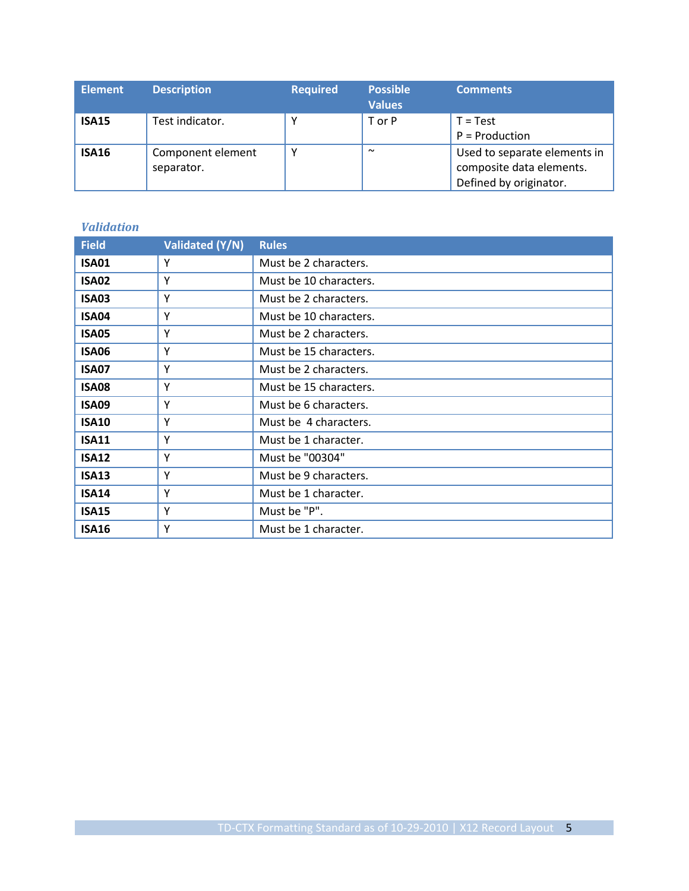| <b>Element</b> | <b>Description</b>              | <b>Required</b> | <b>Possible</b><br><b>Values</b> | <b>Comments</b>                                                                    |
|----------------|---------------------------------|-----------------|----------------------------------|------------------------------------------------------------------------------------|
| <b>ISA15</b>   | Test indicator.                 | ν               | T or P                           | $T = Test$<br>$P =$ Production                                                     |
| <b>ISA16</b>   | Component element<br>separator. |                 | $\sim$                           | Used to separate elements in<br>composite data elements.<br>Defined by originator. |

| <b>Field</b> | Validated (Y/N) | <b>Rules</b>           |
|--------------|-----------------|------------------------|
| <b>ISA01</b> | Y               | Must be 2 characters.  |
| <b>ISA02</b> | Y               | Must be 10 characters. |
| ISA03        | Y               | Must be 2 characters.  |
| <b>ISA04</b> | Y               | Must be 10 characters. |
| <b>ISA05</b> | Υ               | Must be 2 characters.  |
| <b>ISA06</b> | Υ               | Must be 15 characters. |
| <b>ISA07</b> | Y               | Must be 2 characters.  |
| <b>ISA08</b> | Y               | Must be 15 characters. |
| <b>ISA09</b> | Y               | Must be 6 characters.  |
| <b>ISA10</b> | Y               | Must be 4 characters.  |
| <b>ISA11</b> | Υ               | Must be 1 character.   |
| <b>ISA12</b> | Y               | Must be "00304"        |
| <b>ISA13</b> | Y               | Must be 9 characters.  |
| <b>ISA14</b> | Y               | Must be 1 character.   |
| <b>ISA15</b> | Y               | Must be "P".           |
| <b>ISA16</b> | Υ               | Must be 1 character.   |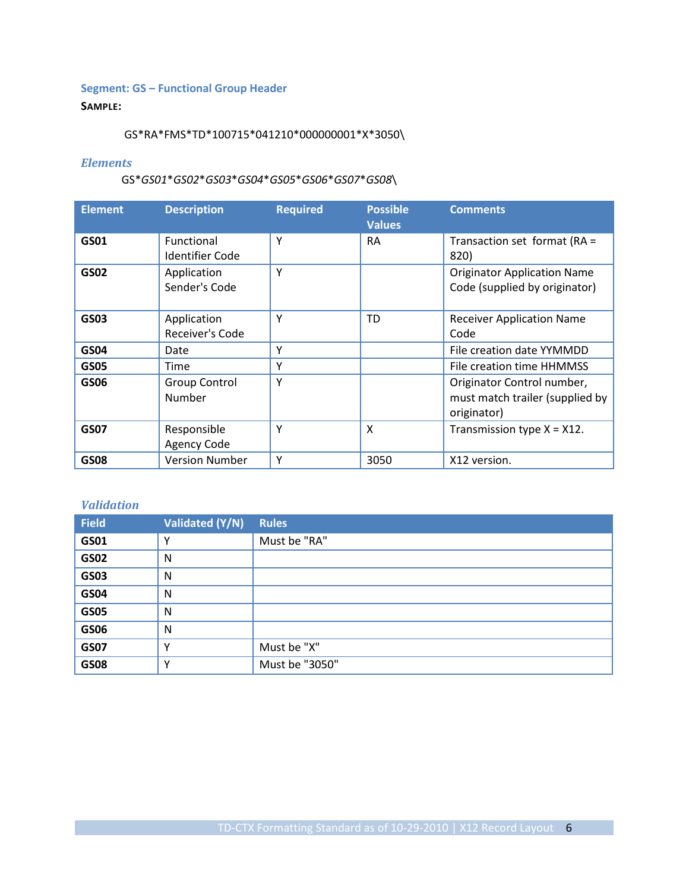## <span id="page-5-0"></span>**Segment: GS – Functional Group Header**

#### **SAMPLE:**

#### GS\*RA\*FMS\*TD\*100715\*041210\*000000001\*X\*3050\

#### *Elements*

#### GS\**GS01*\**GS02*\**GS03*\**GS04*\**GS05*\**GS06*\**GS07*\**GS08*\

| <b>Element</b> | <b>Description</b>                          | <b>Required</b> | <b>Possible</b><br><b>Values</b> | <b>Comments</b>                                                              |  |
|----------------|---------------------------------------------|-----------------|----------------------------------|------------------------------------------------------------------------------|--|
| GS01           | <b>Functional</b><br><b>Identifier Code</b> | Y               | <b>RA</b>                        | Transaction set format (RA =<br>820)                                         |  |
| <b>GS02</b>    | Application<br>Sender's Code                | Y               |                                  | <b>Originator Application Name</b><br>Code (supplied by originator)          |  |
| GS03           | Application<br>Receiver's Code              | Υ               | TD                               | <b>Receiver Application Name</b><br>Code                                     |  |
| GS04           | Date                                        | Υ               |                                  | File creation date YYMMDD                                                    |  |
| <b>GS05</b>    | Time                                        | Υ               |                                  | File creation time HHMMSS                                                    |  |
| <b>GS06</b>    | <b>Group Control</b><br>Number              | Y               |                                  | Originator Control number,<br>must match trailer (supplied by<br>originator) |  |
| <b>GS07</b>    | Responsible<br><b>Agency Code</b>           | Y               | X                                | Transmission type $X = X12$ .                                                |  |
| <b>GS08</b>    | <b>Version Number</b>                       | Υ               | 3050                             | X12 version.                                                                 |  |

| <b>Field</b> | Validated (Y/N) | <b>Rules</b>   |
|--------------|-----------------|----------------|
| GS01         | $\mathsf{v}$    | Must be "RA"   |
| <b>GS02</b>  | N               |                |
| <b>GS03</b>  | N               |                |
| <b>GS04</b>  | N               |                |
| <b>GS05</b>  | N               |                |
| <b>GS06</b>  | N               |                |
| <b>GS07</b>  | $\mathsf{v}$    | Must be "X"    |
| <b>GS08</b>  | $\checkmark$    | Must be "3050" |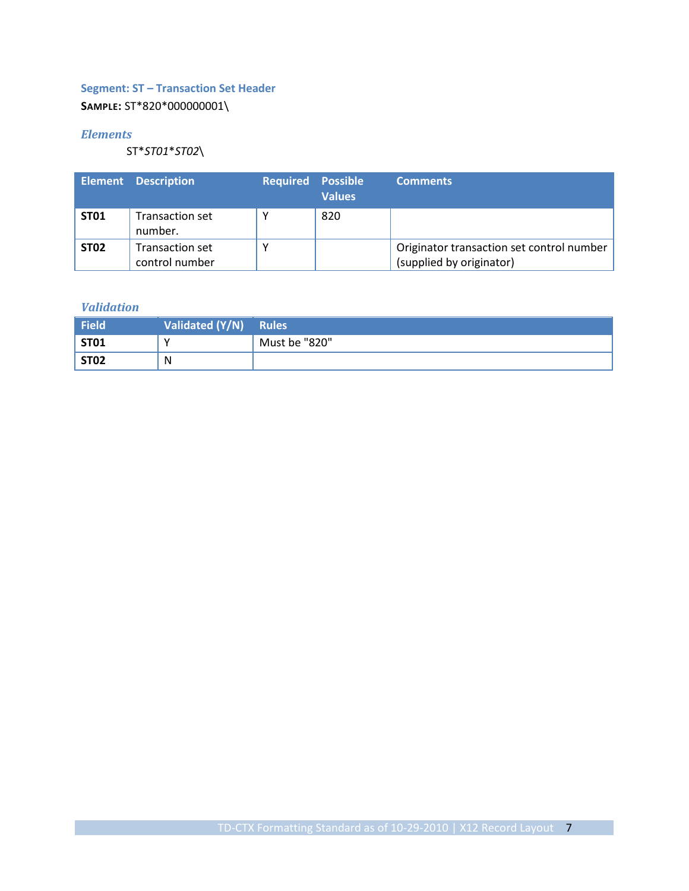## <span id="page-6-0"></span>**Segment: ST – Transaction Set Header**

## **SAMPLE:** ST\*820\*000000001\

#### *Elements*

ST\**ST01*\**ST02*\

|                  | <b>Element Description</b>               | <b>Required Possible</b> | <b>Values</b> | <b>Comments</b>                                                       |
|------------------|------------------------------------------|--------------------------|---------------|-----------------------------------------------------------------------|
| ST <sub>01</sub> | <b>Transaction set</b><br>number.        |                          | 820           |                                                                       |
| <b>ST02</b>      | <b>Transaction set</b><br>control number |                          |               | Originator transaction set control number<br>(supplied by originator) |

| <b>Field</b> | Validated (Y/N) Rules |               |
|--------------|-----------------------|---------------|
| <b>ST01</b>  | N                     | Must be "820" |
| <b>ST02</b>  | N                     |               |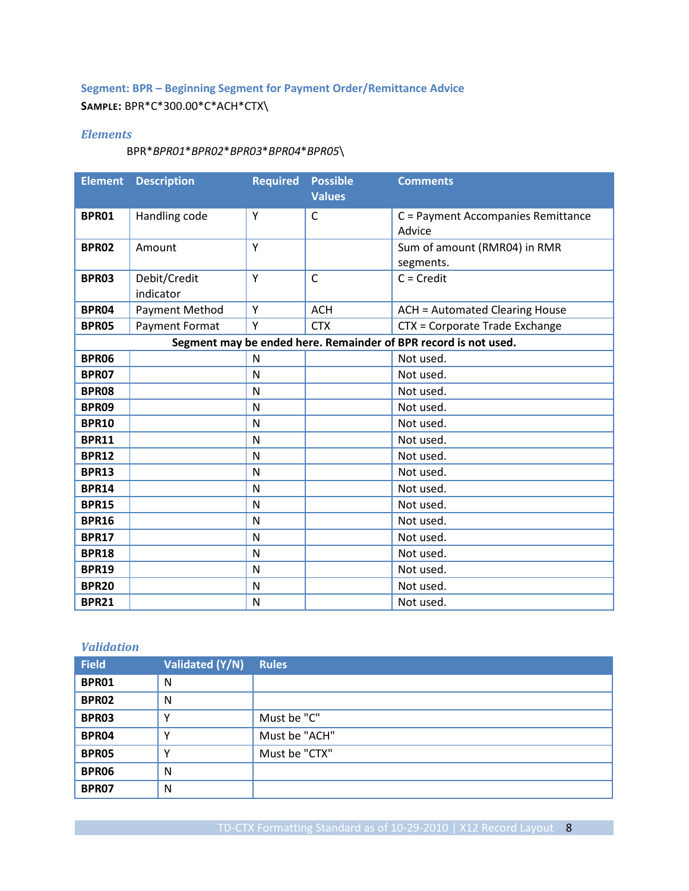## <span id="page-7-0"></span>**Segment: BPR – Beginning Segment for Payment Order/Remittance Advice SAMPLE:** BPR\*C\*300.00\*C\*ACH\*CTX\

#### *Elements*

#### BPR\**BPR01*\**BPR02*\**BPR03*\**BPR04*\**BPR05*\

| <b>Element</b> | <b>Description</b>    | <b>Required</b> | <b>Possible</b><br><b>Values</b> | <b>Comments</b>                                                 |
|----------------|-----------------------|-----------------|----------------------------------|-----------------------------------------------------------------|
| BPR01          | Handling code         | Y               | C                                | C = Payment Accompanies Remittance                              |
|                |                       |                 |                                  | Advice                                                          |
| <b>BPR02</b>   | Amount                | Y               |                                  | Sum of amount (RMR04) in RMR                                    |
|                |                       |                 |                                  | segments.                                                       |
| BPR03          | Debit/Credit          | Υ               | $\mathsf{C}$                     | $C = Credit$                                                    |
|                | indicator             |                 |                                  |                                                                 |
| <b>BPR04</b>   | <b>Payment Method</b> | Y               | <b>ACH</b>                       | <b>ACH = Automated Clearing House</b>                           |
| <b>BPR05</b>   | Payment Format        | Y               | <b>CTX</b>                       | CTX = Corporate Trade Exchange                                  |
|                |                       |                 |                                  | Segment may be ended here. Remainder of BPR record is not used. |
| <b>BPR06</b>   |                       | $\mathsf{N}$    |                                  | Not used.                                                       |
| <b>BPR07</b>   |                       | N               |                                  | Not used.                                                       |
| <b>BPR08</b>   |                       | N               |                                  | Not used.                                                       |
| <b>BPR09</b>   |                       | N               |                                  | Not used.                                                       |
| <b>BPR10</b>   |                       | N               |                                  | Not used.                                                       |
| <b>BPR11</b>   |                       | N               |                                  | Not used.                                                       |
| <b>BPR12</b>   |                       | N               |                                  | Not used.                                                       |
| <b>BPR13</b>   |                       | N               |                                  | Not used.                                                       |
| <b>BPR14</b>   |                       | N               |                                  | Not used.                                                       |
| <b>BPR15</b>   |                       | N               |                                  | Not used.                                                       |
| <b>BPR16</b>   |                       | N               |                                  | Not used.                                                       |
| <b>BPR17</b>   |                       | N               |                                  | Not used.                                                       |
| <b>BPR18</b>   |                       | N               |                                  | Not used.                                                       |
| <b>BPR19</b>   |                       | N               |                                  | Not used.                                                       |
| <b>BPR20</b>   |                       | N               |                                  | Not used.                                                       |
| <b>BPR21</b>   |                       | N               |                                  | Not used.                                                       |

| <b>Field</b> | Validated (Y/N) | Rules         |
|--------------|-----------------|---------------|
| BPR01        | N               |               |
| <b>BPR02</b> | N               |               |
| BPR03        | $\checkmark$    | Must be "C"   |
| BPR04        | v               | Must be "ACH" |
| <b>BPR05</b> | $\checkmark$    | Must be "CTX" |
| <b>BPR06</b> | N               |               |
| <b>BPR07</b> | N               |               |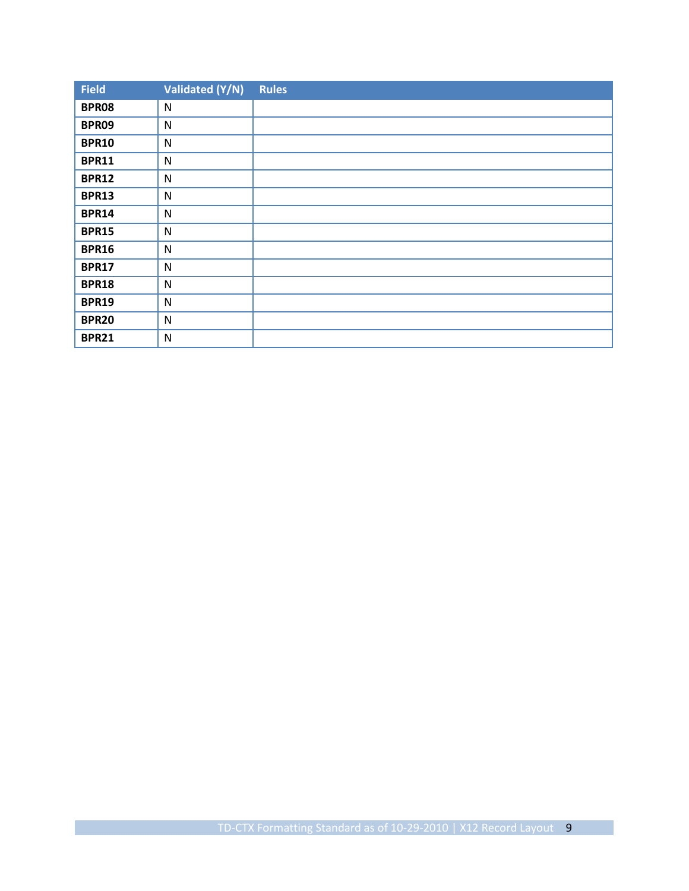| <b>Field</b> | Validated (Y/N) | <b>Rules</b> |
|--------------|-----------------|--------------|
| <b>BPR08</b> | $\mathsf{N}$    |              |
| BPR09        | $\mathsf{N}$    |              |
| <b>BPR10</b> | $\mathsf{N}$    |              |
| <b>BPR11</b> | N               |              |
| <b>BPR12</b> | $\mathsf{N}$    |              |
| <b>BPR13</b> | $\mathsf{N}$    |              |
| <b>BPR14</b> | $\mathsf{N}$    |              |
| <b>BPR15</b> | N               |              |
| <b>BPR16</b> | ${\sf N}$       |              |
| <b>BPR17</b> | ${\sf N}$       |              |
| <b>BPR18</b> | ${\sf N}$       |              |
| <b>BPR19</b> | N               |              |
| <b>BPR20</b> | ${\sf N}$       |              |
| <b>BPR21</b> | N               |              |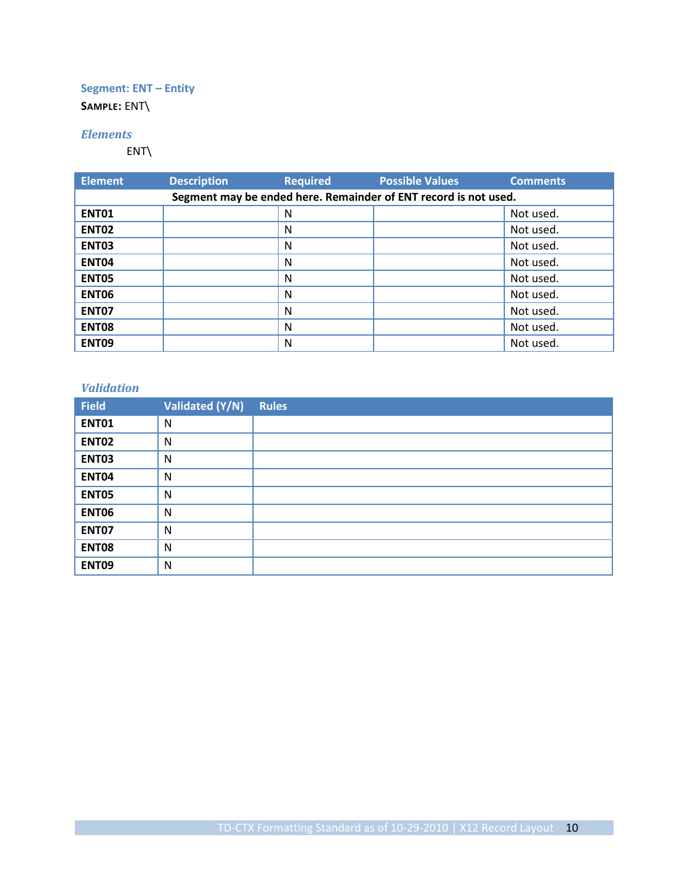## <span id="page-9-0"></span>**Segment: ENT – Entity**

**SAMPLE:** ENT\

#### *Elements*

ENT\

| <b>Element</b> | <b>Description</b> | <b>Required</b> | <b>Possible Values</b>                                          | <b>Comments</b> |
|----------------|--------------------|-----------------|-----------------------------------------------------------------|-----------------|
|                |                    |                 | Segment may be ended here. Remainder of ENT record is not used. |                 |
| <b>ENT01</b>   |                    | N               |                                                                 | Not used.       |
| <b>ENT02</b>   |                    | N               |                                                                 | Not used.       |
| <b>ENT03</b>   |                    | N               |                                                                 | Not used.       |
| <b>ENT04</b>   |                    | N               |                                                                 | Not used.       |
| <b>ENT05</b>   |                    | N               |                                                                 | Not used.       |
| <b>ENT06</b>   |                    | N               |                                                                 | Not used.       |
| <b>ENT07</b>   |                    | N               |                                                                 | Not used.       |
| <b>ENT08</b>   |                    | N               |                                                                 | Not used.       |
| ENT09          |                    | N               |                                                                 | Not used.       |

| <b>Field</b> | Validated (Y/N) | <b>Rules</b> |
|--------------|-----------------|--------------|
| <b>ENT01</b> | N               |              |
| <b>ENT02</b> | N               |              |
| <b>ENT03</b> | N               |              |
| <b>ENT04</b> | N               |              |
| ENT05        | N               |              |
| <b>ENT06</b> | N               |              |
| ENT07        | N               |              |
| <b>ENT08</b> | N               |              |
| <b>ENT09</b> | N               |              |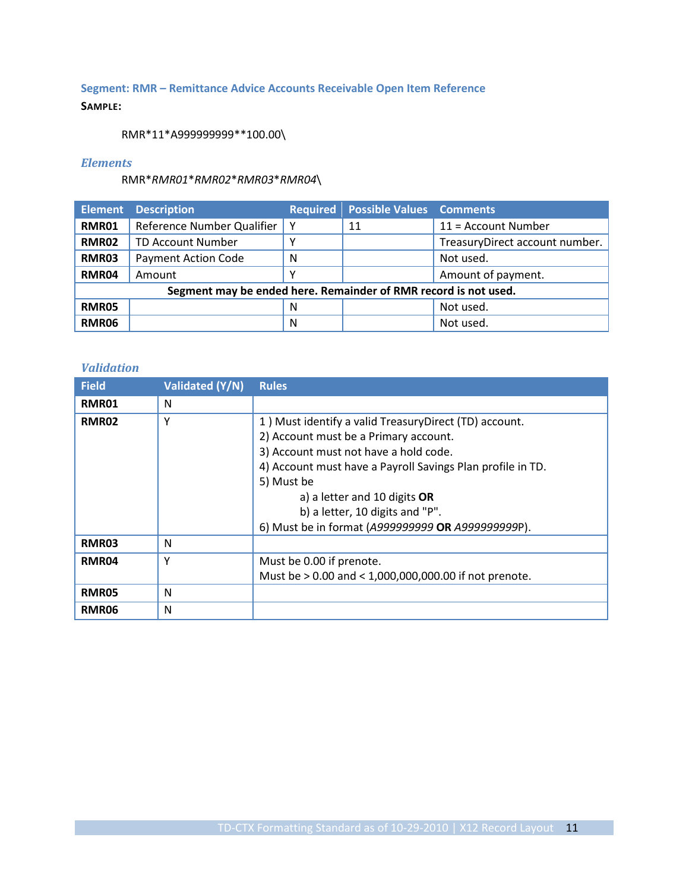## <span id="page-10-0"></span>**Segment: RMR – Remittance Advice Accounts Receivable Open Item Reference**

#### **SAMPLE:**

RMR\*11\*A999999999\*\*100.00\

#### *Elements*

RMR\**RMR01*\**RMR02*\**RMR03*\**RMR04*\

|              | <b>Element Description</b>                                      |   | <b>Required Possible Values Comments</b> |                                |
|--------------|-----------------------------------------------------------------|---|------------------------------------------|--------------------------------|
| <b>RMR01</b> | Reference Number Qualifier                                      | Y | 11                                       | $11 =$ Account Number          |
| <b>RMR02</b> | <b>TD Account Number</b>                                        | Υ |                                          | TreasuryDirect account number. |
| <b>RMR03</b> | <b>Payment Action Code</b>                                      | N |                                          | Not used.                      |
| <b>RMR04</b> | Amount                                                          | Υ |                                          | Amount of payment.             |
|              | Segment may be ended here. Remainder of RMR record is not used. |   |                                          |                                |
| RMR05        |                                                                 | N |                                          | Not used.                      |
| RMR06        |                                                                 | N |                                          | Not used.                      |

| <b>Field</b> | Validated (Y/N) | <b>Rules</b>                                                                                                                                                                                                                                                                                                                                |
|--------------|-----------------|---------------------------------------------------------------------------------------------------------------------------------------------------------------------------------------------------------------------------------------------------------------------------------------------------------------------------------------------|
| RMR01        | N               |                                                                                                                                                                                                                                                                                                                                             |
| RMR02        | Υ               | 1) Must identify a valid TreasuryDirect (TD) account.<br>2) Account must be a Primary account.<br>3) Account must not have a hold code.<br>4) Account must have a Payroll Savings Plan profile in TD.<br>5) Must be<br>a) a letter and 10 digits OR<br>b) a letter, 10 digits and "P".<br>6) Must be in format (A999999999 OR A9999999999). |
| <b>RMR03</b> | N               |                                                                                                                                                                                                                                                                                                                                             |
| RMR04        | Y               | Must be 0.00 if prenote.<br>Must be > 0.00 and < 1,000,000,000.00 if not prenote.                                                                                                                                                                                                                                                           |
| RMR05        | N               |                                                                                                                                                                                                                                                                                                                                             |
| <b>RMR06</b> | N               |                                                                                                                                                                                                                                                                                                                                             |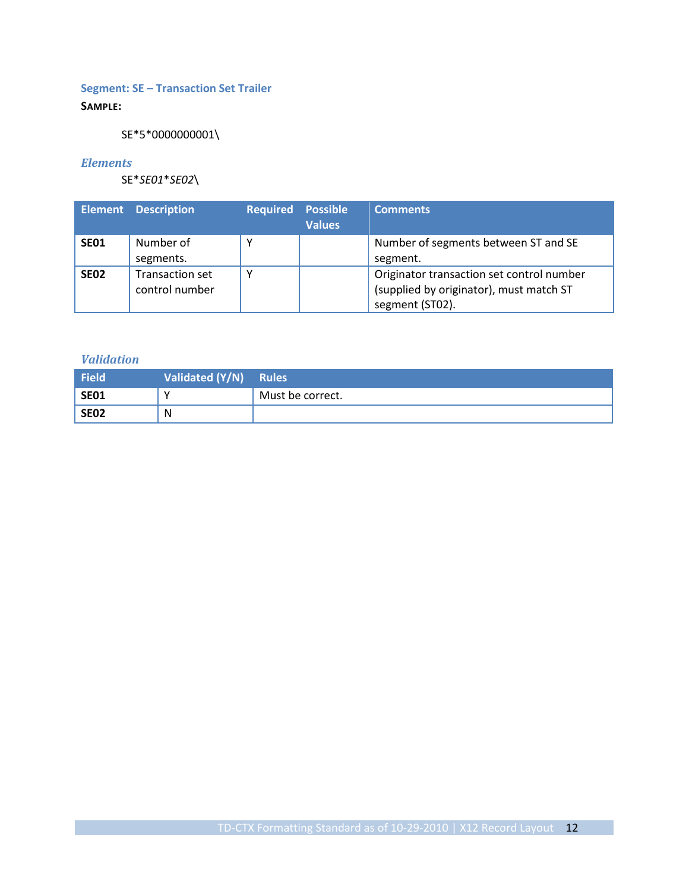## <span id="page-11-0"></span>**Segment: SE – Transaction Set Trailer**

## **SAMPLE:**

SE\*5\*0000000001\

#### *Elements*

SE\**SE01*\**SE02*\

|                  | <b>Element Description</b>        | <b>Required Possible</b> | <b>Values</b> | <b>Comments</b>                                                                                         |
|------------------|-----------------------------------|--------------------------|---------------|---------------------------------------------------------------------------------------------------------|
| SE <sub>01</sub> | Number of<br>segments.            |                          |               | Number of segments between ST and SE<br>segment.                                                        |
| SE <sub>02</sub> | Transaction set<br>control number |                          |               | Originator transaction set control number<br>(supplied by originator), must match ST<br>segment (ST02). |

| Field       | Validated (Y/N) Rules |                  |
|-------------|-----------------------|------------------|
| SE01        | v                     | Must be correct. |
| <b>SE02</b> | N                     |                  |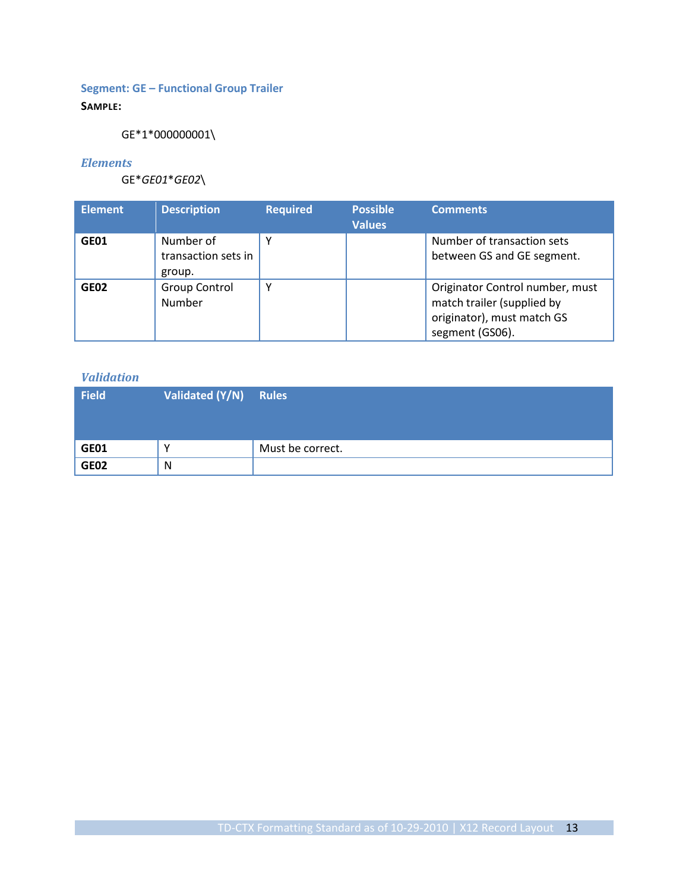## <span id="page-12-0"></span>**Segment: GE – Functional Group Trailer**

## **SAMPLE:**

GE\*1\*000000001\

#### *Elements*

GE\**GE01*\**GE02*\

| <b>Element</b>   | <b>Description</b>                         | <b>Required</b> | <b>Possible</b><br><b>Values</b> | <b>Comments</b>                                                                                                |
|------------------|--------------------------------------------|-----------------|----------------------------------|----------------------------------------------------------------------------------------------------------------|
| GE01             | Number of<br>transaction sets in<br>group. |                 |                                  | Number of transaction sets<br>between GS and GE segment.                                                       |
| GE <sub>02</sub> | <b>Group Control</b><br>Number             | v               |                                  | Originator Control number, must<br>match trailer (supplied by<br>originator), must match GS<br>segment (GS06). |

| Field       | Validated $(Y/N)$ Rules |                  |
|-------------|-------------------------|------------------|
| <b>GE01</b> |                         | Must be correct. |
| <b>GE02</b> | N                       |                  |